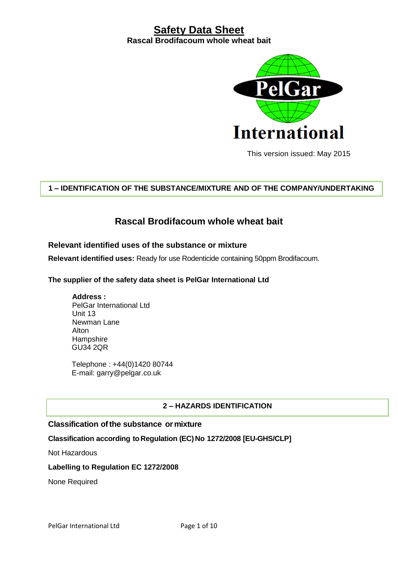

This version issued: May 2015

# **1 – IDENTIFICATION OF THE SUBSTANCE/MIXTURE AND OF THE COMPANY/UNDERTAKING**

# **Rascal Brodifacoum whole wheat bait**

### **Relevant identified uses of the substance or mixture**

**Relevant identified uses:** Ready for use Rodenticide containing 50ppm Brodifacoum.

#### **The supplier of the safety data sheet is PelGar International Ltd**

**Address :** PelGar International Ltd Unit 13 Newman Lane Alton **Hampshire** GU34 2QR

Telephone : +44(0)1420 80744 E-mail: garry@pelgar.co.uk

#### **2 – HAZARDS IDENTIFICATION**

### **Classification ofthe substance or mixture**

#### **Classification according toRegulation (EC)No 1272/2008 [EU-GHS/CLP]**

Not Hazardous

#### **Labelling to Regulation EC 1272/2008**

None Required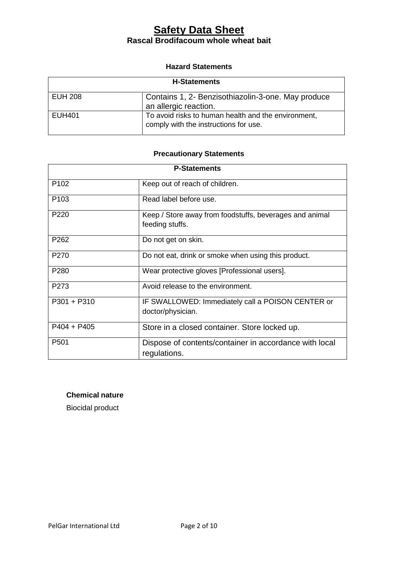#### **Hazard Statements**

| <b>H-Statements</b> |                                                                                              |
|---------------------|----------------------------------------------------------------------------------------------|
| <b>EUH 208</b>      | Contains 1, 2- Benzisothiazolin-3-one. May produce<br>an allergic reaction.                  |
| <b>EUH401</b>       | To avoid risks to human health and the environment,<br>comply with the instructions for use. |

# **Precautionary Statements**

| <b>P-Statements</b> |                                                                            |
|---------------------|----------------------------------------------------------------------------|
| P <sub>102</sub>    | Keep out of reach of children.                                             |
| P <sub>103</sub>    | Read label before use.                                                     |
| P <sub>220</sub>    | Keep / Store away from foodstuffs, beverages and animal<br>feeding stuffs. |
| P <sub>262</sub>    | Do not get on skin.                                                        |
| P <sub>270</sub>    | Do not eat, drink or smoke when using this product.                        |
| P280                | Wear protective gloves [Professional users].                               |
| P <sub>273</sub>    | Avoid release to the environment.                                          |
| $P301 + P310$       | IF SWALLOWED: Immediately call a POISON CENTER or<br>doctor/physician.     |
| $P404 + P405$       | Store in a closed container. Store locked up.                              |
| P <sub>501</sub>    | Dispose of contents/container in accordance with local<br>regulations.     |

### **Chemical nature**

Biocidal product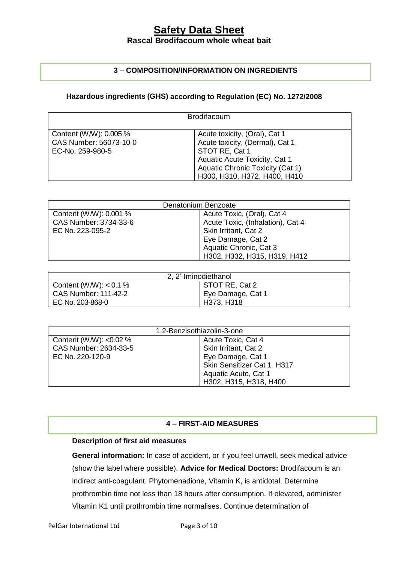# **3 – COMPOSITION/INFORMATION ON INGREDIENTS**

## **Hazardous ingredients (GHS) according to Regulation (EC) No. 1272/2008**

|                                                                      | <b>Brodifacoum</b>                                                                                                                                                                      |
|----------------------------------------------------------------------|-----------------------------------------------------------------------------------------------------------------------------------------------------------------------------------------|
| Content (W/W): 0.005 %<br>CAS Number: 56073-10-0<br>EC-No. 259-980-5 | Acute toxicity, (Oral), Cat 1<br>Acute toxicity, (Dermal), Cat 1<br>STOT RE, Cat 1<br>Aquatic Acute Toxicity, Cat 1<br>Aquatic Chronic Toxicity (Cat 1)<br>H300, H310, H372, H400, H410 |

| Denatonium Benzoate   |                                  |
|-----------------------|----------------------------------|
| Content (WW): 0.001 % | Acute Toxic, (Oral), Cat 4       |
| CAS Number: 3734-33-6 | Acute Toxic, (Inhalation), Cat 4 |
| EC No. 223-095-2      | Skin Irritant, Cat 2             |
|                       | Eye Damage, Cat 2                |
|                       | Aquatic Chronic, Cat 3           |
|                       | H302, H332, H315, H319, H412     |

| 2, 2'-Iminodiethanol        |                   |  |
|-----------------------------|-------------------|--|
| Content (W/W): $< 0.1 \%$   | STOT RE, Cat 2    |  |
| <b>CAS Number: 111-42-2</b> | Eye Damage, Cat 1 |  |
| EC No. 203-868-0            | H373, H318        |  |

| 1,2-Benzisothiazolin-3-one |                            |
|----------------------------|----------------------------|
| Content (W/W): $< 0.02 \%$ | Acute Toxic, Cat 4         |
| CAS Number: 2634-33-5      | Skin Irritant, Cat 2       |
| EC No. 220-120-9           | Eye Damage, Cat 1          |
|                            | Skin Sensitizer Cat 1 H317 |
|                            | Aquatic Acute, Cat 1       |
|                            | H302, H315, H318, H400     |

### **4 – FIRST-AID MEASURES**

#### **Description of first aid measures**

**General information:** In case of accident, or if you feel unwell, seek medical advice (show the label where possible). **Advice for Medical Doctors:** Brodifacoum is an indirect anti-coagulant. Phytomenadione, Vitamin K, is antidotal. Determine prothrombin time not less than 18 hours after consumption. If elevated, administer Vitamin K1 until prothrombin time normalises. Continue determination of

PelGar International Ltd Page 3 of 10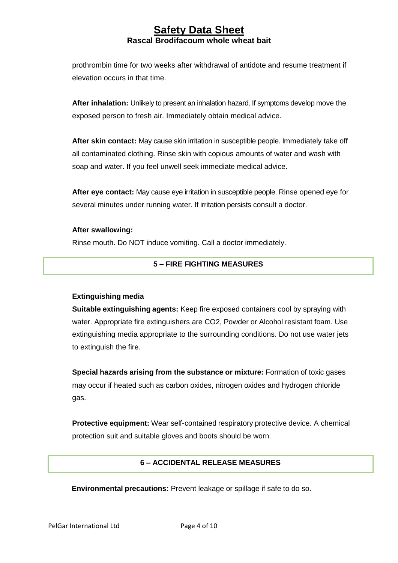prothrombin time for two weeks after withdrawal of antidote and resume treatment if elevation occurs in that time.

**After inhalation:** Unlikely to present an inhalation hazard. If symptoms develop move the exposed person to fresh air. Immediately obtain medical advice.

**After skin contact:** May cause skin irritation in susceptible people. Immediately take off all contaminated clothing. Rinse skin with copious amounts of water and wash with soap and water. If you feel unwell seek immediate medical advice.

**After eye contact:** May cause eye irritation in susceptible people. Rinse opened eye for several minutes under running water. If irritation persists consult a doctor.

#### **After swallowing:**

Rinse mouth. Do NOT induce vomiting. Call a doctor immediately.

### **5 – FIRE FIGHTING MEASURES**

#### **Extinguishing media**

**Suitable extinguishing agents:** Keep fire exposed containers cool by spraying with water. Appropriate fire extinguishers are CO2, Powder or Alcohol resistant foam. Use extinguishing media appropriate to the surrounding conditions. Do not use water jets to extinguish the fire.

**Special hazards arising from the substance or mixture:** Formation of toxic gases may occur if heated such as carbon oxides, nitrogen oxides and hydrogen chloride gas.

**Protective equipment:** Wear self-contained respiratory protective device. A chemical protection suit and suitable gloves and boots should be worn.

### **6 – ACCIDENTAL RELEASE MEASURES**

**Environmental precautions:** Prevent leakage or spillage if safe to do so.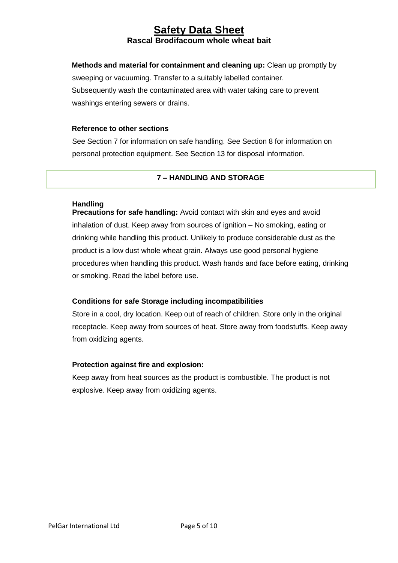**Methods and material for containment and cleaning up:** Clean up promptly by sweeping or vacuuming. Transfer to a suitably labelled container. Subsequently wash the contaminated area with water taking care to prevent washings entering sewers or drains.

#### **Reference to other sections**

See Section 7 for information on safe handling. See Section 8 for information on personal protection equipment. See Section 13 for disposal information.

#### **7 – HANDLING AND STORAGE**

#### **Handling**

**Precautions for safe handling:** Avoid contact with skin and eyes and avoid inhalation of dust. Keep away from sources of ignition – No smoking, eating or drinking while handling this product. Unlikely to produce considerable dust as the product is a low dust whole wheat grain. Always use good personal hygiene procedures when handling this product. Wash hands and face before eating, drinking or smoking. Read the label before use.

#### **Conditions for safe Storage including incompatibilities**

Store in a cool, dry location. Keep out of reach of children. Store only in the original receptacle. Keep away from sources of heat. Store away from foodstuffs. Keep away from oxidizing agents.

#### **Protection against fire and explosion:**

Keep away from heat sources as the product is combustible. The product is not explosive. Keep away from oxidizing agents.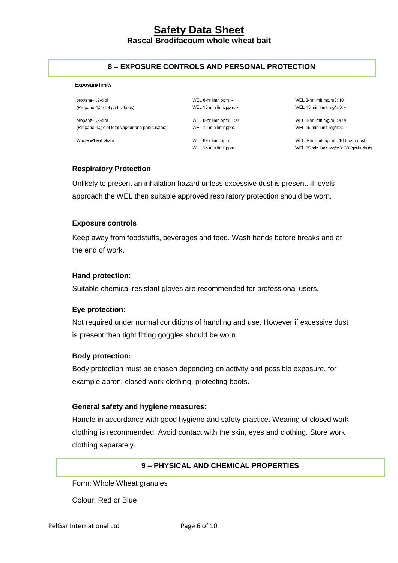#### **8 – EXPOSURE CONTROLS AND PERSONAL PROTECTION**

#### **Exposure limits**

propane-1,2-diol (Propane-1,2-diol particulates)

propane-1,2-diol (Propane-1,2-diol total vapour and particulates)

Whole Wheat Grain

WEL 8-hr limit ppm: -WEL 15 min limit ppm: -WEL 8-hr limit ppm: 150

WEL 15 min limit ppm: -

WEL 8-hr limit ppm: WEL 15 min limit ppm: WEL 8-hr limit mg/m3: 10 WEL 15 min limit mg/m3: -

WEL 8-hr limit mg/m3: 474 WEL 15 min limit mg/m3: -

WEL 8-hr limit mg/m3: 10 (grain dust) WEL 15 min limit mg/m3: 30 (grain dust)

#### **Respiratory Protection**

Unlikely to present an inhalation hazard unless excessive dust is present. If levels approach the WEL then suitable approved respiratory protection should be worn.

#### **Exposure controls**

Keep away from foodstuffs, beverages and feed. Wash hands before breaks and at the end of work.

#### **Hand protection:**

Suitable chemical resistant gloves are recommended for professional users.

#### **Eye protection:**

Not required under normal conditions of handling and use. However if excessive dust is present then tight fitting goggles should be worn.

#### **Body protection:**

Body protection must be chosen depending on activity and possible exposure, for example apron, closed work clothing, protecting boots.

#### **General safety and hygiene measures:**

Handle in accordance with good hygiene and safety practice. Wearing of closed work clothing is recommended. Avoid contact with the skin, eyes and clothing. Store work clothing separately.

#### **9 – PHYSICAL AND CHEMICAL PROPERTIES**

Form: Whole Wheat granules

Colour: Red or Blue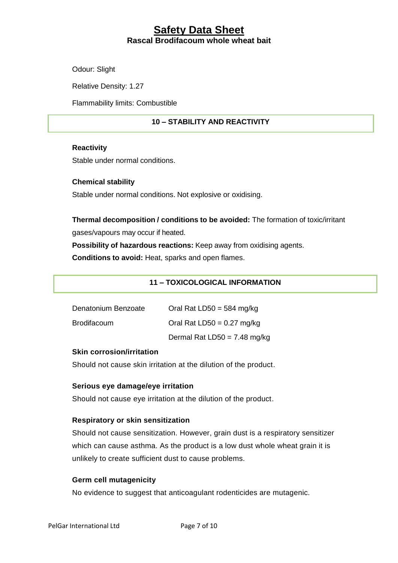Odour: Slight

Relative Density: 1.27

Flammability limits: Combustible

### **10 – STABILITY AND REACTIVITY**

#### **Reactivity**

Stable under normal conditions.

#### **Chemical stability**

Stable under normal conditions. Not explosive or oxidising.

# **Thermal decomposition / conditions to be avoided:** The formation of toxic/irritant gases/vapours may occur if heated.

**Possibility of hazardous reactions:** Keep away from oxidising agents.

**Conditions to avoid:** Heat, sparks and open flames.

### **11 – TOXICOLOGICAL INFORMATION**

| Denatonium Benzoate | Oral Rat LD50 = 584 mg/kg    |
|---------------------|------------------------------|
| <b>Brodifacoum</b>  | Oral Rat $LD50 = 0.27$ mg/kg |
|                     | Dermal Rat LD50 = 7.48 mg/kg |

#### **Skin corrosion/irritation**

Should not cause skin irritation at the dilution of the product.

#### **Serious eye damage/eye irritation**

Should not cause eye irritation at the dilution of the product.

#### **Respiratory or skin sensitization**

Should not cause sensitization. However, grain dust is a respiratory sensitizer which can cause asthma. As the product is a low dust whole wheat grain it is unlikely to create sufficient dust to cause problems.

#### **Germ cell mutagenicity**

No evidence to suggest that anticoagulant rodenticides are mutagenic.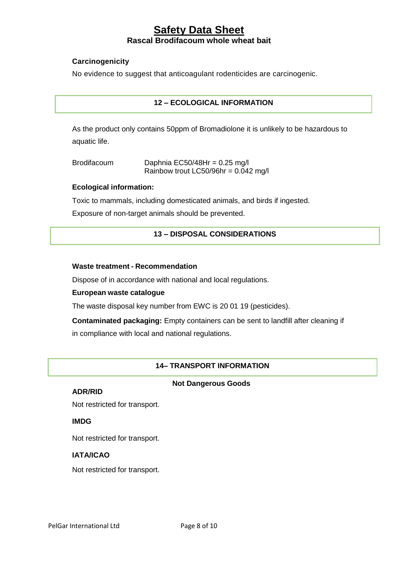### **Carcinogenicity**

No evidence to suggest that anticoagulant rodenticides are carcinogenic.

### **12 – ECOLOGICAL INFORMATION**

As the product only contains 50ppm of Bromadiolone it is unlikely to be hazardous to aquatic life.

| <b>Brodifacoum</b> | Daphnia EC50/48Hr = $0.25 \text{ mg/l}$ |
|--------------------|-----------------------------------------|
|                    | Rainbow trout LC50/96hr = $0.042$ mg/l  |

#### **Ecological information:**

Toxic to mammals, including domesticated animals, and birds if ingested.

Exposure of non-target animals should be prevented.

### **13 – DISPOSAL CONSIDERATIONS**

#### **Waste treatment - Recommendation**

Dispose of in accordance with national and local regulations.

#### **European waste catalogue**

The waste disposal key number from EWC is 20 01 19 (pesticides).

**Contaminated packaging:** Empty containers can be sent to landfill after cleaning if in compliance with local and national regulations.

#### **14– TRANSPORT INFORMATION**

#### **Not Dangerous Goods**

#### **ADR/RID**

Not restricted for transport.

#### **IMDG**

Not restricted for transport.

#### **IATA/ICAO**

Not restricted for transport.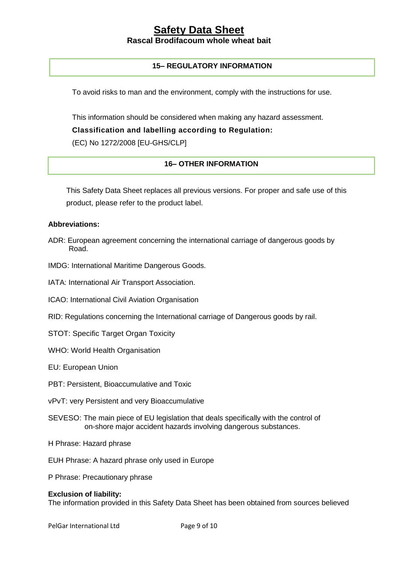### **15– REGULATORY INFORMATION**

To avoid risks to man and the environment, comply with the instructions for use.

This information should be considered when making any hazard assessment.

**Classification and labelling according to Regulation:** 

(EC) No 1272/2008 [EU-GHS/CLP]

### **16– OTHER INFORMATION**

This Safety Data Sheet replaces all previous versions. For proper and safe use of this product, please refer to the product label.

#### **Abbreviations:**

- ADR: European agreement concerning the international carriage of dangerous goods by Road.
- IMDG: International Maritime Dangerous Goods.
- IATA: International Air Transport Association.
- ICAO: International Civil Aviation Organisation
- RID: Regulations concerning the International carriage of Dangerous goods by rail.
- STOT: Specific Target Organ Toxicity
- WHO: World Health Organisation
- EU: European Union
- PBT: Persistent, Bioaccumulative and Toxic
- vPvT: very Persistent and very Bioaccumulative
- SEVESO: The main piece of EU legislation that deals specifically with the control of on-shore major accident hazards involving dangerous substances.
- H Phrase: Hazard phrase
- EUH Phrase: A hazard phrase only used in Europe
- P Phrase: Precautionary phrase

#### **Exclusion of liability:**

The information provided in this Safety Data Sheet has been obtained from sources believed